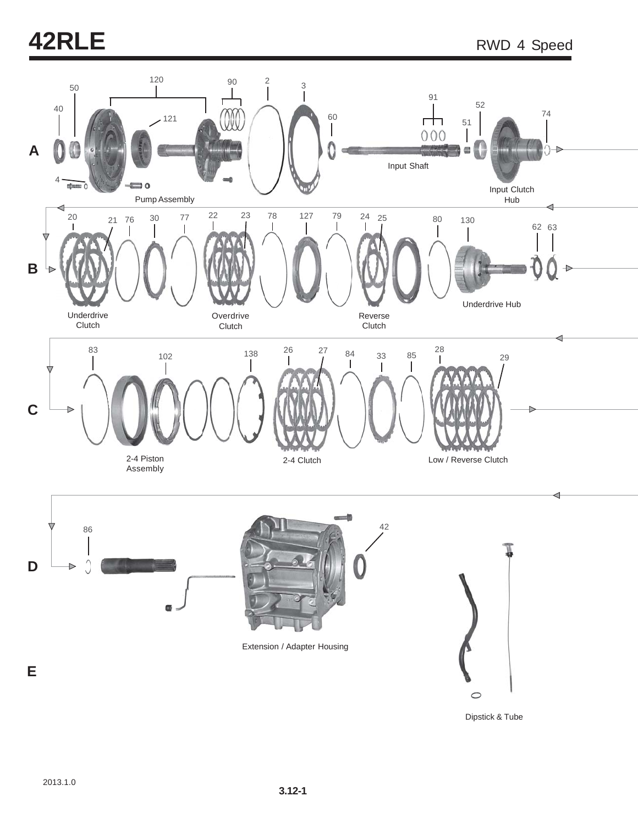# **42RLE** RWD 4 Speed



Dipstick & Tube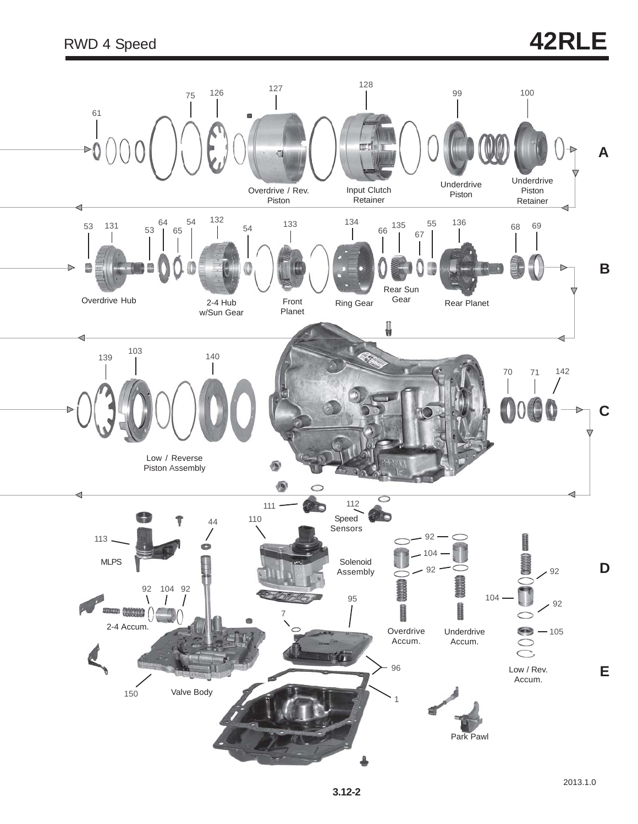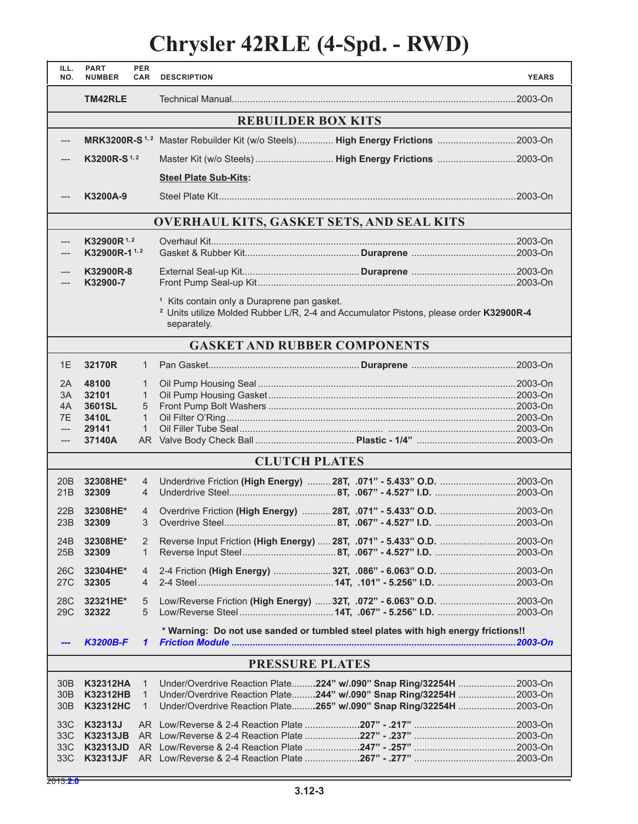## **Chrysler 42RLE (4-Spd. - RWD)**

| ILL.<br>NO.            | <b>PART</b><br><b>NUMBER</b> | <b>PER</b><br><b>CAR</b> | <b>DESCRIPTION</b>                                                                                                                                                         | <b>YEARS</b> |  |  |
|------------------------|------------------------------|--------------------------|----------------------------------------------------------------------------------------------------------------------------------------------------------------------------|--------------|--|--|
|                        | TM42RLE                      |                          |                                                                                                                                                                            |              |  |  |
|                        |                              |                          | <b>REBUILDER BOX KITS</b>                                                                                                                                                  |              |  |  |
|                        |                              |                          | MRK3200R-S <sup>1,2</sup> Master Rebuilder Kit (w/o Steels) High Energy Frictions 2003-On                                                                                  |              |  |  |
|                        | K3200R-S <sup>1,2</sup>      |                          |                                                                                                                                                                            |              |  |  |
|                        |                              |                          | <b>Steel Plate Sub-Kits:</b>                                                                                                                                               |              |  |  |
|                        | K3200A-9                     |                          |                                                                                                                                                                            |              |  |  |
|                        |                              |                          | <b>OVERHAUL KITS, GASKET SETS, AND SEAL KITS</b>                                                                                                                           |              |  |  |
| ---                    | $K32900R^{1,2}$              |                          |                                                                                                                                                                            |              |  |  |
|                        | K32900R-1 <sup>1,2</sup>     |                          |                                                                                                                                                                            |              |  |  |
|                        | K32900R-8<br>K32900-7        |                          |                                                                                                                                                                            |              |  |  |
|                        |                              |                          | <sup>1</sup> Kits contain only a Duraprene pan gasket.<br><sup>2</sup> Units utilize Molded Rubber L/R, 2-4 and Accumulator Pistons, please order K32900R-4<br>separately. |              |  |  |
|                        |                              |                          | <b>GASKET AND RUBBER COMPONENTS</b>                                                                                                                                        |              |  |  |
| 1E                     | 32170R                       | $\mathbf{1}$             |                                                                                                                                                                            |              |  |  |
| 2A                     | 48100                        | 1                        |                                                                                                                                                                            |              |  |  |
| 3A                     | 32101                        | $\mathbf{1}$             |                                                                                                                                                                            |              |  |  |
| 4A<br>7E               | 3601SL<br>3410L              | 5<br>$\mathbf{1}$        |                                                                                                                                                                            |              |  |  |
| $---$                  | 29141                        | $\mathbf{1}$             |                                                                                                                                                                            |              |  |  |
| $---$                  | 37140A                       |                          |                                                                                                                                                                            |              |  |  |
|                        |                              |                          | <b>CLUTCH PLATES</b>                                                                                                                                                       |              |  |  |
| 20 <sub>B</sub>        | 32308HE*                     | 4                        |                                                                                                                                                                            |              |  |  |
| 21B                    | 32309                        | 4                        |                                                                                                                                                                            |              |  |  |
| 22B                    | 32308HE*                     | $\overline{4}$           | Overdrive Friction (High Energy)  28T, .071" - 5.433" O.D.  2003-On                                                                                                        |              |  |  |
| 23B                    | 32309                        | 3                        |                                                                                                                                                                            |              |  |  |
|                        |                              |                          |                                                                                                                                                                            |              |  |  |
| 24B<br>25B             | 32308HE*<br>32309            | 2<br>$\mathbf{1}$        | Reverse Input Friction (High Energy)  28T, .071" - 5.433" O.D.  2003-On                                                                                                    |              |  |  |
|                        |                              |                          |                                                                                                                                                                            |              |  |  |
| 26C<br>27C             | 32304HE*<br>32305            | 4<br>4                   |                                                                                                                                                                            |              |  |  |
|                        |                              |                          |                                                                                                                                                                            |              |  |  |
| 28C<br>29C             | 32321HE*<br>32322            | 5<br>5                   |                                                                                                                                                                            |              |  |  |
|                        | <b>K3200B-F</b>              | $\mathbf{1}$             | * Warning: Do not use sanded or tumbled steel plates with high energy frictions!!                                                                                          |              |  |  |
| <b>PRESSURE PLATES</b> |                              |                          |                                                                                                                                                                            |              |  |  |
| 30B                    | <b>K32312HA</b>              | $\mathbf{1}$             | Under/Overdrive Reaction Plate224" w/.090" Snap Ring/32254H 2003-On                                                                                                        |              |  |  |
| 30B                    | <b>K32312HB</b>              | $\mathbf{1}$             | Under/Overdrive Reaction Plate244" w/.090" Snap Ring/32254H 2003-On                                                                                                        |              |  |  |
| 30B                    | <b>K32312HC</b>              | $\mathbf{1}$             | Under/Overdrive Reaction Plate265" w/.090" Snap Ring/32254H 2003-On                                                                                                        |              |  |  |
|                        |                              |                          |                                                                                                                                                                            |              |  |  |
| 33C<br>33C             | K32313J<br><b>K32313JB</b>   |                          |                                                                                                                                                                            |              |  |  |
| 33C                    | <b>K32313JD</b>              |                          |                                                                                                                                                                            |              |  |  |
| 33C                    | <b>K32313JF</b>              |                          |                                                                                                                                                                            |              |  |  |
|                        |                              |                          |                                                                                                                                                                            |              |  |  |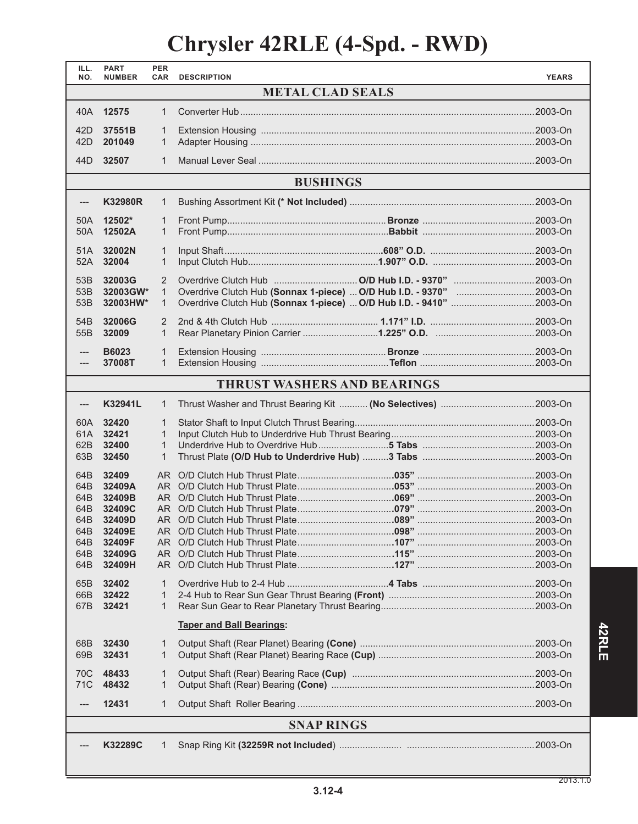## **Chrysler 42RLE (4-Spd. - RWD)**

| ILL.<br>NO.             | <b>PART</b><br><b>NUMBER</b> | <b>PER</b><br><b>CAR</b> | <b>DESCRIPTION</b>                                            | <b>YEARS</b> |  |  |
|-------------------------|------------------------------|--------------------------|---------------------------------------------------------------|--------------|--|--|
| <b>METAL CLAD SEALS</b> |                              |                          |                                                               |              |  |  |
|                         | 40A 12575                    | $\mathbf{1}$             |                                                               |              |  |  |
|                         |                              |                          |                                                               |              |  |  |
| 42D                     | 37551B                       | 1                        |                                                               |              |  |  |
| 42D                     | 201049                       | $\mathbf{1}$             |                                                               |              |  |  |
| 44 <sub>D</sub>         | 32507                        | $\mathbf{1}$             |                                                               |              |  |  |
|                         |                              |                          | <b>BUSHINGS</b>                                               |              |  |  |
| ---                     | <b>K32980R</b>               | 1                        |                                                               |              |  |  |
| 50A                     | 12502*                       | $\mathbf{1}$             |                                                               |              |  |  |
| 50A                     | 12502A                       | $\mathbf{1}$             |                                                               |              |  |  |
|                         |                              |                          |                                                               |              |  |  |
| 51A                     | 32002N                       | 1                        |                                                               |              |  |  |
| 52A                     | 32004                        | 1                        |                                                               |              |  |  |
| 53B                     | 32003G                       | 2                        |                                                               |              |  |  |
| 53B                     | 32003GW*                     | $\mathbf{1}$             |                                                               |              |  |  |
| 53B                     | 32003HW*                     | $\mathbf{1}$             |                                                               |              |  |  |
| 54 <sub>B</sub>         | 32006G                       | 2                        |                                                               |              |  |  |
| 55B                     | 32009                        | $\mathbf{1}$             |                                                               |              |  |  |
|                         |                              |                          |                                                               |              |  |  |
| ---                     | <b>B6023</b>                 | $\mathbf{1}$             |                                                               |              |  |  |
| ---                     | 37008T                       | $\mathbf{1}$             |                                                               |              |  |  |
|                         |                              |                          | <b>THRUST WASHERS AND BEARINGS</b>                            |              |  |  |
|                         | K32941L                      | $\mathbf{1}$             | Thrust Washer and Thrust Bearing Kit  (No Selectives) 2003-On |              |  |  |
|                         |                              |                          |                                                               |              |  |  |
| 60A                     | 32420                        | 1                        |                                                               |              |  |  |
| 61A                     | 32421                        | $\mathbf{1}$             |                                                               |              |  |  |
| 62B                     | 32400                        | $\mathbf{1}$             |                                                               |              |  |  |
| 63B                     | 32450                        | $\mathbf{1}$             |                                                               |              |  |  |
| 64B                     | 32409                        |                          |                                                               |              |  |  |
| 64B                     | 32409A                       |                          |                                                               |              |  |  |
| 64B                     | 32409B                       |                          |                                                               |              |  |  |
| 64B                     | 32409C                       |                          |                                                               |              |  |  |
| 64B                     | 32409D                       |                          |                                                               |              |  |  |
| 64B<br>64B              | 32409E<br>32409F             |                          |                                                               |              |  |  |
| 64B                     | 32409G                       | AR I                     |                                                               |              |  |  |
| 64B                     | 32409H                       | AR I                     |                                                               |              |  |  |
|                         |                              |                          |                                                               |              |  |  |
| 65B                     | 32402                        | 1                        |                                                               |              |  |  |
| 66B<br>67B              | 32422<br>32421               | 1<br>1                   |                                                               |              |  |  |
|                         |                              |                          |                                                               |              |  |  |
|                         |                              |                          | <b>Taper and Ball Bearings:</b>                               |              |  |  |
| 68B<br>69B              | 32430<br>32431               | 1<br>1                   |                                                               |              |  |  |
|                         |                              |                          |                                                               |              |  |  |
| 70C<br>71C              | 48433<br>48432               | 1<br>1                   |                                                               |              |  |  |
|                         | 12431                        | 1                        |                                                               |              |  |  |
| <b>SNAP RINGS</b>       |                              |                          |                                                               |              |  |  |
|                         |                              |                          |                                                               |              |  |  |
|                         | K32289C                      | 1                        |                                                               |              |  |  |
|                         |                              |                          |                                                               |              |  |  |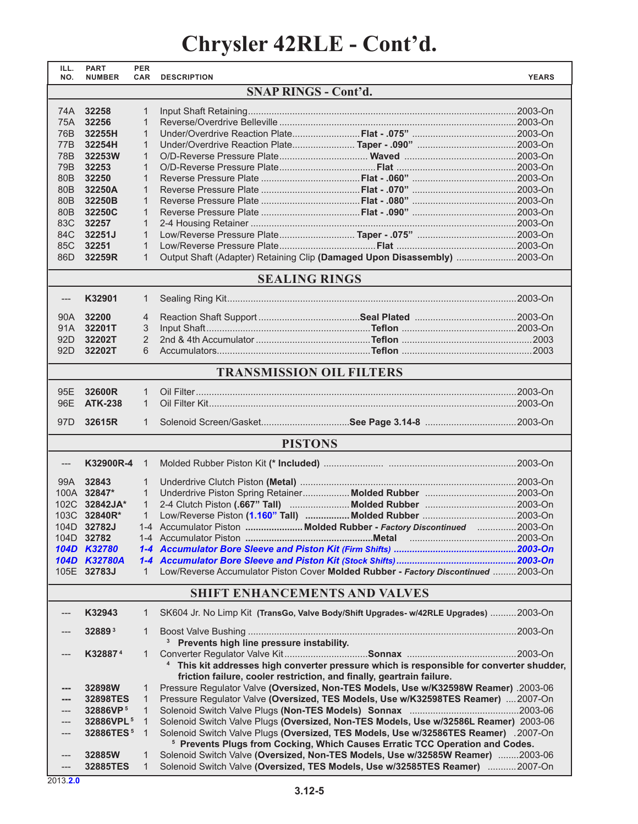## **Chrysler 42RLE - Cont'd.**

| ILL.<br>NO.                     | <b>PART</b><br><b>NUMBER</b> | <b>PER</b><br><b>CAR</b> | <b>DESCRIPTION</b>                                                                                                                                             | <b>YEARS</b> |  |  |
|---------------------------------|------------------------------|--------------------------|----------------------------------------------------------------------------------------------------------------------------------------------------------------|--------------|--|--|
| <b>SNAP RINGS - Cont'd.</b>     |                              |                          |                                                                                                                                                                |              |  |  |
| 74A .                           | 32258                        | $\mathbf{1}$             |                                                                                                                                                                |              |  |  |
| 75A                             | 32256                        | $\mathbf{1}$             |                                                                                                                                                                |              |  |  |
| 76B                             | 32255H                       | $\mathbf{1}$             |                                                                                                                                                                |              |  |  |
| 77B                             | 32254H                       | 1                        |                                                                                                                                                                |              |  |  |
| 78B                             | 32253W                       | 1                        |                                                                                                                                                                |              |  |  |
| 79B                             | 32253                        | $\mathbf{1}$             |                                                                                                                                                                |              |  |  |
| 80 <sub>B</sub>                 | 32250                        | $\mathbf{1}$             |                                                                                                                                                                |              |  |  |
| 80 <sub>B</sub>                 | 32250A                       | 1                        |                                                                                                                                                                |              |  |  |
| 80 <sub>B</sub>                 | 32250B                       | 1                        |                                                                                                                                                                |              |  |  |
| 80 <sub>B</sub>                 | 32250C                       | 1                        |                                                                                                                                                                |              |  |  |
| 83C                             | 32257                        | $\mathbf{1}$             |                                                                                                                                                                |              |  |  |
| 84C                             | 32251J                       | $\mathbf{1}$             |                                                                                                                                                                |              |  |  |
| 85C                             | 32251                        | $\mathbf{1}$             |                                                                                                                                                                |              |  |  |
| 86D                             | 32259R                       | $\mathbf{1}$             | Output Shaft (Adapter) Retaining Clip (Damaged Upon Disassembly) 2003-On                                                                                       |              |  |  |
| <b>SEALING RINGS</b>            |                              |                          |                                                                                                                                                                |              |  |  |
| $---$                           | K32901                       | 1                        |                                                                                                                                                                |              |  |  |
|                                 |                              |                          |                                                                                                                                                                |              |  |  |
| 90A                             | 32200                        | $\overline{4}$           |                                                                                                                                                                |              |  |  |
| 91A                             | 32201T                       | 3                        |                                                                                                                                                                |              |  |  |
| 92D                             | 32202T                       | $\overline{2}$           |                                                                                                                                                                |              |  |  |
| 92D                             | 32202T                       | 6                        |                                                                                                                                                                |              |  |  |
| <b>TRANSMISSION OIL FILTERS</b> |                              |                          |                                                                                                                                                                |              |  |  |
| 95E                             | 32600R                       | $\mathbf{1}$             |                                                                                                                                                                |              |  |  |
| 96E                             | <b>ATK-238</b>               | $\mathbf{1}$             |                                                                                                                                                                |              |  |  |
| 97D                             | 32615R                       | $\mathbf{1}$             |                                                                                                                                                                |              |  |  |
|                                 |                              |                          | <b>PISTONS</b>                                                                                                                                                 |              |  |  |
| ---                             | K32900R-4                    | $\mathbf{1}$             |                                                                                                                                                                |              |  |  |
|                                 |                              |                          |                                                                                                                                                                |              |  |  |
| 99A                             | 32843                        | 1                        |                                                                                                                                                                |              |  |  |
|                                 | 100A 32847*                  | 1                        |                                                                                                                                                                |              |  |  |
|                                 | 102C 32842JA*                | $\mathbf{1}$             |                                                                                                                                                                |              |  |  |
|                                 | 103C 32840R*                 | $\mathbf{1}$             |                                                                                                                                                                |              |  |  |
|                                 | 104D 32782J                  |                          | 1-4 Accumulator Piston Molded Rubber - Factory Discontinued 2003-On                                                                                            |              |  |  |
|                                 | 104D 32782                   |                          |                                                                                                                                                                |              |  |  |
|                                 | 104D K32780                  |                          |                                                                                                                                                                |              |  |  |
|                                 | 104D K32780A<br>105E 32783J  | $\mathbf{1}$             | Low/Reverse Accumulator Piston Cover Molded Rubber - Factory Discontinued 2003-On                                                                              |              |  |  |
|                                 |                              |                          |                                                                                                                                                                |              |  |  |
|                                 |                              |                          | <b>SHIFT ENHANCEMENTS AND VALVES</b>                                                                                                                           |              |  |  |
|                                 | K32943                       | 1                        | SK604 Jr. No Limp Kit (TransGo, Valve Body/Shift Upgrades- w/42RLE Upgrades) 2003-On                                                                           |              |  |  |
|                                 | 328893                       | 1                        | <sup>3</sup> Prevents high line pressure instability.                                                                                                          |              |  |  |
|                                 | K32887 <sup>4</sup>          | 1                        |                                                                                                                                                                |              |  |  |
|                                 |                              |                          | <sup>4</sup> This kit addresses high converter pressure which is responsible for converter shudder,                                                            |              |  |  |
|                                 |                              |                          | friction failure, cooler restriction, and finally, geartrain failure.                                                                                          |              |  |  |
| ---                             | 32898W                       | 1                        | Pressure Regulator Valve (Oversized, Non-TES Models, Use w/K32598W Reamer) .2003-06                                                                            |              |  |  |
| ---                             | 32898TES                     | 1                        | Pressure Regulator Valve (Oversized, TES Models, Use w/K32598TES Reamer)  2007-On                                                                              |              |  |  |
|                                 | 32886VP <sup>5</sup>         | $\mathbf{1}$             |                                                                                                                                                                |              |  |  |
|                                 | 32886VPL <sup>5</sup>        | $\mathbf{1}$             | Solenoid Switch Valve Plugs (Oversized, Non-TES Models, Use w/32586L Reamer) 2003-06                                                                           |              |  |  |
| ---                             | 32886TES <sup>5</sup>        | $\mathbf{1}$             | Solenoid Switch Valve Plugs (Oversized, TES Models, Use w/32586TES Reamer) .2007-On                                                                            |              |  |  |
|                                 |                              |                          | <sup>5</sup> Prevents Plugs from Cocking, Which Causes Erratic TCC Operation and Codes.                                                                        |              |  |  |
| ---<br>---                      | 32885W<br>32885TES           | 1<br>$\mathbf{1}$        | Solenoid Switch Valve (Oversized, Non-TES Models, Use w/32585W Reamer) 2003-06<br>Solenoid Switch Valve (Oversized, TES Models, Use w/32585TES Reamer) 2007-On |              |  |  |